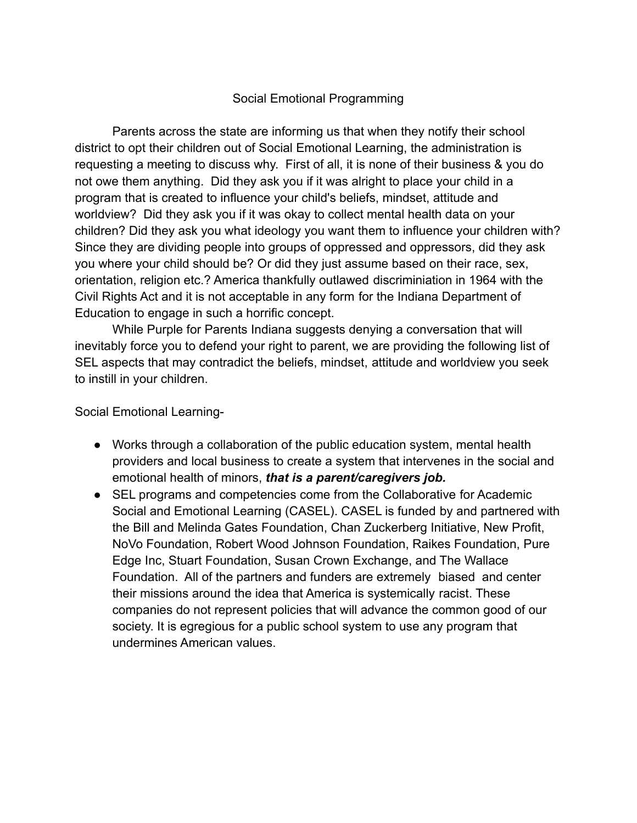## Social Emotional Programming

Parents across the state are informing us that when they notify their school district to opt their children out of Social Emotional Learning, the administration is requesting a meeting to discuss why. First of all, it is none of their business & you do not owe them anything. Did they ask you if it was alright to place your child in a program that is created to influence your child's beliefs, mindset, attitude and worldview? Did they ask you if it was okay to collect mental health data on your children? Did they ask you what ideology you want them to influence your children with? Since they are dividing people into groups of oppressed and oppressors, did they ask you where your child should be? Or did they just assume based on their race, sex, orientation, religion etc.? America thankfully outlawed discriminiation in 1964 with the Civil Rights Act and it is not acceptable in any form for the Indiana Department of Education to engage in such a horrific concept.

While Purple for Parents Indiana suggests denying a conversation that will inevitably force you to defend your right to parent, we are providing the following list of SEL aspects that may contradict the beliefs, mindset, attitude and worldview you seek to instill in your children.

Social Emotional Learning-

- Works through a collaboration of the public education system, mental health providers and local business to create a system that intervenes in the social and emotional health of minors, *that is a parent/caregivers job.*
- SEL programs and competencies come from the Collaborative for Academic Social and Emotional Learning (CASEL). CASEL is funded by and partnered with the Bill and Melinda Gates Foundation, Chan Zuckerberg Initiative, New Profit, NoVo Foundation, Robert Wood Johnson Foundation, Raikes Foundation, Pure Edge Inc, Stuart Foundation, Susan Crown Exchange, and The Wallace Foundation. All of the partners and funders are extremely biased and center their missions around the idea that America is systemically racist. These companies do not represent policies that will advance the common good of our society. It is egregious for a public school system to use any program that undermines American values.